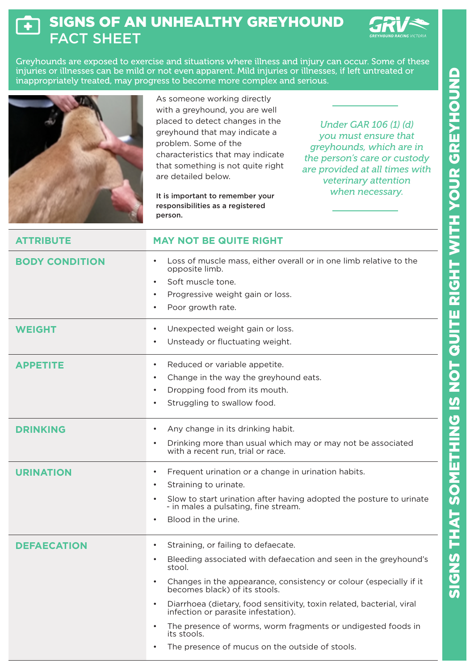## SIGNS OF AN UNHEALTHY GREYHOUND  $\overline{\ddot{\bm{+}}}$ FACT SHEET



Greyhounds are exposed to exercise and situations where illness and injury can occur. Some of these injuries or illnesses can be mild or not even apparent. Mild injuries or illnesses, if left untreated or inappropriately treated, may progress to become more complex and serious.

|                       | As someone working directly<br>with a greyhound, you are well<br>placed to detect changes in the<br>Under GAR 106 (1) (d)<br>greyhound that may indicate a<br>you must ensure that<br>problem. Some of the<br>greyhounds, which are in<br>characteristics that may indicate<br>the person's care or custody<br>that something is not quite right<br>are provided at all times with<br>are detailed below.<br>veterinary attention<br>when necessary.<br>It is important to remember your<br>responsibilities as a registered<br>person. |
|-----------------------|-----------------------------------------------------------------------------------------------------------------------------------------------------------------------------------------------------------------------------------------------------------------------------------------------------------------------------------------------------------------------------------------------------------------------------------------------------------------------------------------------------------------------------------------|
| <b>ATTRIBUTE</b>      | <b>MAY NOT BE QUITE RIGHT</b>                                                                                                                                                                                                                                                                                                                                                                                                                                                                                                           |
| <b>BODY CONDITION</b> | Loss of muscle mass, either overall or in one limb relative to the<br>opposite limb.<br>Soft muscle tone.<br>Progressive weight gain or loss.<br>Poor growth rate.                                                                                                                                                                                                                                                                                                                                                                      |
| <b>WEIGHT</b>         | Unexpected weight gain or loss.<br>Unsteady or fluctuating weight.                                                                                                                                                                                                                                                                                                                                                                                                                                                                      |
| <b>APPETITE</b>       | Reduced or variable appetite.<br>Change in the way the greyhound eats.<br>Dropping food from its mouth.<br>Struggling to swallow food.                                                                                                                                                                                                                                                                                                                                                                                                  |
| <b>DRINKING</b>       | Any change in its drinking habit.<br>Drinking more than usual which may or may not be associated<br>with a recent run, trial or race.                                                                                                                                                                                                                                                                                                                                                                                                   |
| <b>URINATION</b>      | Frequent urination or a change in urination habits.<br>$\bullet$<br>Straining to urinate.<br>٠<br>Slow to start urination after having adopted the posture to urinate<br>- in males a pulsating, fine stream.<br>Blood in the urine.                                                                                                                                                                                                                                                                                                    |
| <b>DEFAECATION</b>    | Straining, or failing to defaecate.<br>$\bullet$<br>Bleeding associated with defaecation and seen in the greyhound's<br>stool.<br>Changes in the appearance, consistency or colour (especially if it<br>$\bullet$<br>becomes black) of its stools.<br>Diarrhoea (dietary, food sensitivity, toxin related, bacterial, viral<br>$\bullet$<br>infection or parasite infestation).<br>The presence of worms, worm fragments or undigested foods in<br>$\bullet$<br>its stools.<br>The presence of mucus on the outside of stools.          |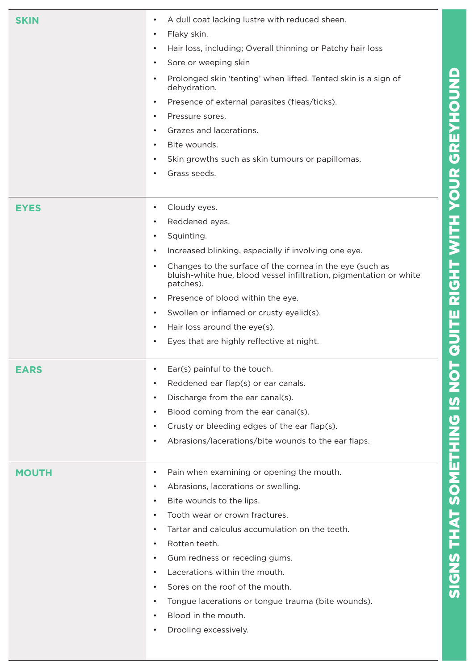| <b>SKIN</b>  | A dull coat lacking lustre with reduced sheen.<br>$\bullet$<br>Flaky skin.<br>$\bullet$<br>Hair loss, including; Overall thinning or Patchy hair loss<br>$\bullet$<br>Sore or weeping skin<br>$\bullet$<br>Prolonged skin 'tenting' when lifted. Tented skin is a sign of<br>$\bullet$<br>dehydration.<br>Presence of external parasites (fleas/ticks).<br>$\bullet$<br>Pressure sores.<br>٠<br>Grazes and lacerations.<br>$\bullet$<br>Bite wounds.<br>$\bullet$<br>Skin growths such as skin tumours or papillomas.<br>$\bullet$<br>Grass seeds.                       |
|--------------|--------------------------------------------------------------------------------------------------------------------------------------------------------------------------------------------------------------------------------------------------------------------------------------------------------------------------------------------------------------------------------------------------------------------------------------------------------------------------------------------------------------------------------------------------------------------------|
| <b>EYES</b>  | Cloudy eyes.<br>$\bullet$<br>Reddened eyes.<br>٠<br>Squinting.<br>$\bullet$<br>Increased blinking, especially if involving one eye.<br>$\bullet$<br>Changes to the surface of the cornea in the eye (such as<br>$\bullet$<br>bluish-white hue, blood vessel infiltration, pigmentation or white<br>patches).<br>Presence of blood within the eye.<br>$\bullet$<br>Swollen or inflamed or crusty eyelid(s).<br>$\bullet$<br>Hair loss around the eye(s).<br>$\bullet$<br>Eyes that are highly reflective at night.<br>٠                                                   |
| <b>EARS</b>  | Ear(s) painful to the touch.<br>٠<br>Reddened ear flap(s) or ear canals.<br>$\bullet$<br>Discharge from the ear canal(s).<br>$\bullet$<br>Blood coming from the ear canal(s).<br>$\bullet$<br>Crusty or bleeding edges of the ear flap(s).<br>$\bullet$<br>Abrasions/lacerations/bite wounds to the ear flaps.<br>$\bullet$                                                                                                                                                                                                                                              |
| <b>MOUTH</b> | Pain when examining or opening the mouth.<br>٠<br>Abrasions, lacerations or swelling.<br>$\bullet$<br>Bite wounds to the lips.<br>$\bullet$<br>Tooth wear or crown fractures.<br>$\bullet$<br>Tartar and calculus accumulation on the teeth.<br>$\bullet$<br>Rotten teeth.<br>$\bullet$<br>Gum redness or receding gums.<br>$\bullet$<br>Lacerations within the mouth.<br>$\bullet$<br>Sores on the roof of the mouth.<br>$\bullet$<br>Tongue lacerations or tongue trauma (bite wounds).<br>$\bullet$<br>Blood in the mouth.<br>$\bullet$<br>Drooling excessively.<br>٠ |